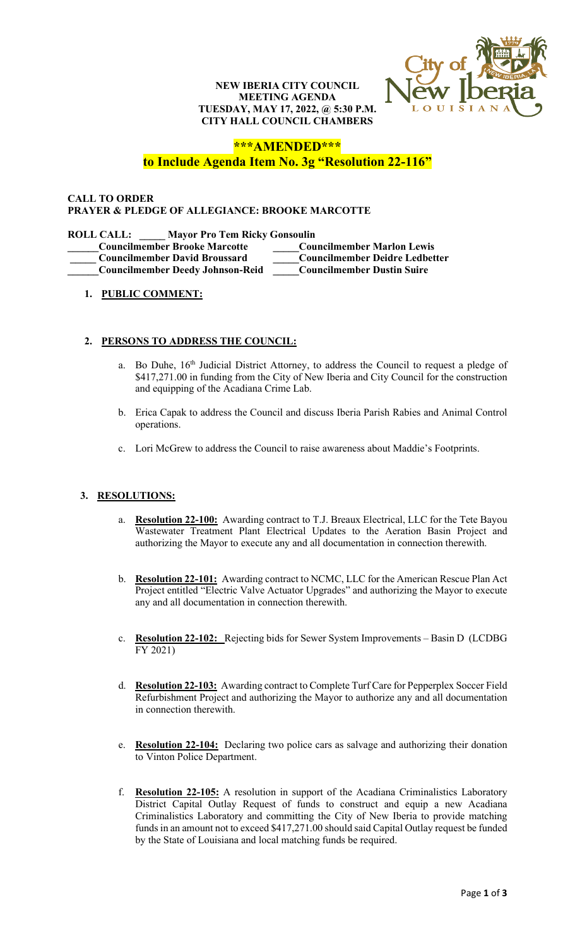### **NEW IBERIA CITY COUNCIL MEETING AGENDA TUESDAY, MAY 17, 2022, @ 5:30 P.M. CITY HALL COUNCIL CHAMBERS**



# **\*\*\*AMENDED\*\*\***

# **to Include Agenda Item No. 3g "Resolution 22-116"**

#### **CALL TO ORDER PRAYER & PLEDGE OF ALLEGIANCE: BROOKE MARCOTTE**

#### **ROLL CALL: \_\_\_\_\_ Mayor Pro Tem Ricky Gonsoulin**

| <b>Councilmember Brooke Marcotte</b>    | <b>Councilmember Marlon Lewis</b>     |
|-----------------------------------------|---------------------------------------|
| <b>Councilmember David Broussard</b>    | <b>Councilmember Deidre Ledbetter</b> |
| <b>Councilmember Deedy Johnson-Reid</b> | <b>Councilmember Dustin Suire</b>     |

### **1. PUBLIC COMMENT:**

### **2. PERSONS TO ADDRESS THE COUNCIL:**

- a. Bo Duhe, 16<sup>th</sup> Judicial District Attorney, to address the Council to request a pledge of \$417,271.00 in funding from the City of New Iberia and City Council for the construction and equipping of the Acadiana Crime Lab.
- b. Erica Capak to address the Council and discuss Iberia Parish Rabies and Animal Control operations.
- c. Lori McGrew to address the Council to raise awareness about Maddie's Footprints.

### **3. RESOLUTIONS:**

- a. **Resolution 22-100:** Awarding contract to T.J. Breaux Electrical, LLC for the Tete Bayou Wastewater Treatment Plant Electrical Updates to the Aeration Basin Project and authorizing the Mayor to execute any and all documentation in connection therewith.
- b. **Resolution 22-101:** Awarding contract to NCMC, LLC for the American Rescue Plan Act Project entitled "Electric Valve Actuator Upgrades" and authorizing the Mayor to execute any and all documentation in connection therewith.
- c. **Resolution 22-102:** Rejecting bids for Sewer System Improvements Basin D (LCDBG FY 2021)
- d. **Resolution 22-103:** Awarding contract to Complete Turf Care for Pepperplex Soccer Field Refurbishment Project and authorizing the Mayor to authorize any and all documentation in connection therewith.
- e. **Resolution 22-104:** Declaring two police cars as salvage and authorizing their donation to Vinton Police Department.
- f. **Resolution 22-105:** A resolution in support of the Acadiana Criminalistics Laboratory District Capital Outlay Request of funds to construct and equip a new Acadiana Criminalistics Laboratory and committing the City of New Iberia to provide matching funds in an amount not to exceed \$417,271.00 should said Capital Outlay request be funded by the State of Louisiana and local matching funds be required.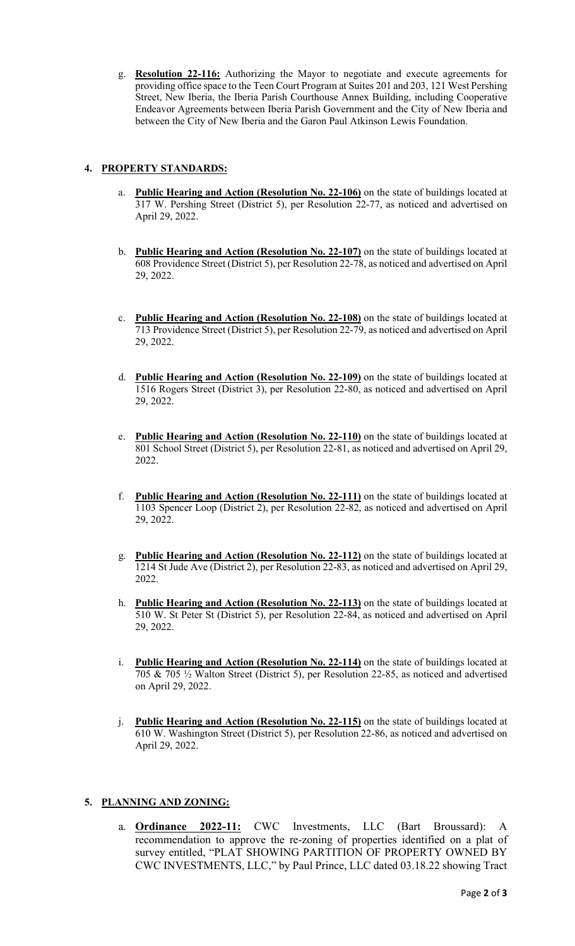g. **Resolution 22-116:** Authorizing the Mayor to negotiate and execute agreements for providing office space to the Teen Court Program at Suites 201 and 203, 121 West Pershing Street, New Iberia, the Iberia Parish Courthouse Annex Building, including Cooperative Endeavor Agreements between Iberia Parish Government and the City of New Iberia and between the City of New Iberia and the Garon Paul Atkinson Lewis Foundation.

# **4. PROPERTY STANDARDS:**

- a. **Public Hearing and Action (Resolution No. 22-106)** on the state of buildings located at 317 W. Pershing Street (District 5), per Resolution 22-77, as noticed and advertised on April 29, 2022.
- b. **Public Hearing and Action (Resolution No. 22-107)** on the state of buildings located at 608 Providence Street (District 5), per Resolution 22-78, as noticed and advertised on April 29, 2022.
- c. **Public Hearing and Action (Resolution No. 22-108)** on the state of buildings located at 713 Providence Street (District 5), per Resolution 22-79, as noticed and advertised on April 29, 2022.
- d. **Public Hearing and Action (Resolution No. 22-109)** on the state of buildings located at 1516 Rogers Street (District 3), per Resolution 22-80, as noticed and advertised on April 29, 2022.
- e. **Public Hearing and Action (Resolution No. 22-110)** on the state of buildings located at 801 School Street (District 5), per Resolution 22-81, as noticed and advertised on April 29, 2022.
- f. **Public Hearing and Action (Resolution No. 22-111)** on the state of buildings located at 1103 Spencer Loop (District 2), per Resolution 22-82, as noticed and advertised on April 29, 2022.
- g. **Public Hearing and Action (Resolution No. 22-112)** on the state of buildings located at 1214 St Jude Ave (District 2), per Resolution 22-83, as noticed and advertised on April 29, 2022.
- h. **Public Hearing and Action (Resolution No. 22-113)** on the state of buildings located at 510 W. St Peter St (District 5), per Resolution 22-84, as noticed and advertised on April 29, 2022.
- i. **Public Hearing and Action (Resolution No. 22-114)** on the state of buildings located at 705 & 705 ½ Walton Street (District 5), per Resolution 22-85, as noticed and advertised on April 29, 2022.
- j. **Public Hearing and Action (Resolution No. 22-115)** on the state of buildings located at 610 W. Washington Street (District 5), per Resolution 22-86, as noticed and advertised on April 29, 2022.

### **5. PLANNING AND ZONING:**

a. **Ordinance 2022-11:** CWC Investments, LLC (Bart Broussard): A recommendation to approve the re-zoning of properties identified on a plat of survey entitled, "PLAT SHOWING PARTITION OF PROPERTY OWNED BY CWC INVESTMENTS, LLC," by Paul Prince, LLC dated 03.18.22 showing Tract